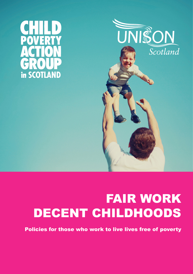



# FAIR WORK DECENT CHILDHOODS

Policies for those who work to live lives free of poverty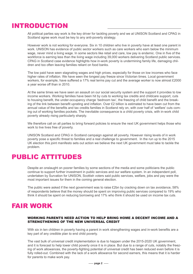# INTRODUCTION

All political parties say work is the key driver for tackling poverty and we at UNISON Scotland and CPAG in Scotland agree work must be key to any anti-poverty strategy.

However work is not working for everyone. Six in 10 children who live in poverty have at least one parent in work. UNISON has evidence of public sector workers such as care workers who earn below the minimum wage, never mind a living wage. In some sectors like retail and care, low pay is endemic. One in five of the workforce is earning less than the living wage including 39,000 workers delivering Scotland public services. CPAG in Scotland case evidence highlights how in-work poverty is undermining family life, damaging children and too often leaving families reliant on food banks.

The low paid have seen stagnating wages and high prices, especially for those on low incomes who face higher rates of inflation. We have seen the longest pay freeze since Victorian times. Local government workers, for example, have suffered a 17% real terms pay cut and the average worker is now almost £2000 a year worse off than in 2010.

At the same times we have seen an assault on our social security system and the support it provides to low income workers. Working families have been hit by cuts to working tax credits and childcare support, cuts to housing benefit, the under-occupancy charge 'bedroom tax', the freezing of child benefit and the breaking of the link between benefit uprating and inflation. Over £2 billion is estimated to have been cut from the annual value of the benefits and tax credits families in Scotland rely on, with over half of 'welfare' cuts coming out of working families pockets. The inevitable consequence is a child poverty crisis, with in-work child poverty already rising particularly sharply.

We therefore call on all parties to bring forward policies to ensure the next UK government helps those who work to live lives free of poverty.

UNISON Scotland and CPAG in Scotland campaign against all poverty. However rising levels of in work poverty pose a specific threat to families and a real challenge to government. In the run up to the 2015 UK election this joint manifesto sets out action we believe the next UK government must take to tackle the problem.

### PUBLIC ATTITUDES

Despite an onslaught on poorer families by some sections of the media and some politicians the public continue to support further investment in public services and our welfare system. In an independent poll, undertaken by Survation for UNISON, Scottish voters said public services, welfare, jobs and pay were the most important issues for them in the coming general election.

The public were asked if the next government was to raise £2bn by cracking down on tax avoidance, 58% of respondents believe that the money should be spent on improving public services compared to 19% who think it should be spent on reducing borrowing and 17% who think it should be used on income tax cuts.

# FAIR WORK

#### WORKING PARENTS NEED ACTION TO HELP BRING HOME A DECENT INCOME AND A STRENGTHENING OF THE NEW UNIVERSAL CREDIT

With six in ten children in poverty having a parent in work strengthening wages and in-work benefits are a key part of any credible plan to end child poverty.

The vast bulk of universal credit implementation is due to happen under the 2015-2020 UK government, and it is forecast to help lower child poverty once it is in place. But due to a range of cuts, notably the freezing of work allowances, the poverty-fighting potential of universal credit has been reduced even before it is fully rolled-out. Combined with the lack of a work allowance for second earners, this means that it is harder for parents to make work pay.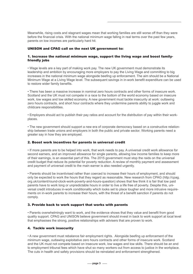Meanwhile, rising costs and stagnant wages mean that working families are still worse off than they were before the financial crisis. With the national minimum wage falling in real terms over the past few years, parents on low incomes are particularly hard hit.

#### UNISON and CPAG call on the next UK government to:

#### 1. Increase the national minimum wage, support the living wage and boost familyfriendly jobs

• Wage levels are a key part of making work pay. The new UK government must demonstrate its leadership and ambition by encouraging more employers to pay the Living Wage and committing to big increases in the national minimum wage alongside beefing up enforcement. The aim should be a National Minimum Wage at a Living Wage level. The subsequent savings in in-work benefit expenditure can be used to restore wider family benefits.

• There has been a massive increase in nominal zero hours contracts and other forms of insecure work. Scotland and the UK must not compete in a race to the bottom of the world economy based on insecure work, low wages and low skilled economy. A new government must tackle insecurity at work: outlawing zero hours contracts, and short hour contracts where they undermine parents ability to juggle work and childcare responsibilities.

• Employers should act to publish their pay ratios and account for the distribution of pay within their workplaces.

• The new government should support a new era of corporate democracy based on a constructive relationship between trade unions and employers in both the public and private sector. Working parents need a greater say in how they are employed.

#### 2. Boost work incentives for parents in universal credit

• If more parents are to be helped into work, that work needs to pay. A universal credit work allowance for second earners, and an improved allowance for single parents, allowing low income families to keep more of their earnings, is an essential part of this. The 2015 government must stop the raids on the universal credit budget that reduce its potential for poverty reduction. A review of monthly payment and assessment and payment of universal credit to the main earner is also needed urgently.

• Parents should be incentivised rather than coerced to increase their hours of employment, and should only be expected to work the hours that they regard as reasonable. New research from CPAG (http://cpag. org.uk/content/round-clock-work-poverty-and-hours-question) shows that few think it is fair that low paid parents have to work long or unpredictable hours in order to live a life free of poverty. Despite this, universal credit introduces in-work conditionality which looks set to place tougher and more intrusive requirements on in-work parents to increase their hours, with the threat of a benefit sanction if parents do not comply.

#### 3. Provide back to work support that works with parents

• Parents overwhelmingly want to work, and the evidence shows that they value and benefit from good quality support. CPAG and UNISON believe government should invest in back to work support at local level that emphasises the strong, positive relationships with advisers that are proven to work.

#### 4. Tackle work insecurity

• A new government must rebalance fair employment rights. Alongside beefing up enforcement of the minimum wage, outlawing exploitative zero hours contracts and other forms of insecure work. Scotland and the UK must not compete based on insecure work, low wages and low skills. There should be an end to employment tribunal fees which have shut so many workers out from access to justice in the workplace. The cuts in health and safety provisions should be reinstated and enforcement strengthened.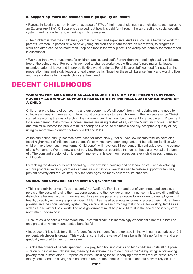#### 5. Supporting work life balance and high quality childcare

• Parents in Scotland currently pay an average of 27% of their household income on childcare. (compared to an EU average 12%). Childcare is devolved, but how it is paid for (through the tax credit and social security system) and it's link to flexible working rights is reserved.

• The problem is that the childcare system is complex and expensive. And as such it is a barrier to work for parents. Women, in particular, who have young children find it hard to take on more work, to progress in work and often can do no more than keep one foot in the work place. The workplace penalty for motherhood is substantial.

• We need three way investment for children families and staff. For children we need high quality childcare, free at the point of use. For parents we need to change workplaces with a year's paid maternity leave, extended paternal leave and improved flexible working rights. For childcare staff we need fair pay, training, preparation time and study leave and real career paths. Together these will balance family and working lives and give children a high quality childcare they need.

# DECENT CHILDHOODS

#### WORKING FAMILIES NEED A SOCIAL SECURITY SYSTEM THAT PREVENTS IN WORK POVERTY AND WHICH SUPPORTS PARENTS WITH THE REAL COSTS OF BRINGING UP A CHILD

Children are the future of our country and our economy. We all benefit from their upbringing and need to collectively invest in them as our future. But it costs money to raise children. In the two years since CPAG started measuring the cost of a child, the minimum cost has risen by 8 per cent for a couple and 11 per cent for a lone parent. Costs for low income families are rising fastest of all, with the Minimum Income Standard (the minimum income the public think is enough to live on, to maintain a socially-acceptable quality of life) rising by more than a quarter between 2008 and 2014.

At the same time, family incomes have risen far more slowly, if at all. And low income families have also faced higher rates of inflation than others. Yet earnings have been stagnant, and benefits for families with children have been cut in real terms. Child benefit will have lost 14 per cent of its real value over the course of this Parliament. We are now one of very few European countries that do not have a universal child benefit. The constant erosion of child benefit, money that is spent on necessities every child needs, damages childhoods.

By tackling the drivers of benefit spending – low pay, high housing and childcare costs – and developing a more progressive tax system we can ensure our nation's wealth is used to restore support for families, prevent poverty and reduce inequality that damages too many children's life chances.

#### UNISON and CPAG call on the next UK government to:

• Think and talk in terms of 'social security' not 'welfare'. Families in and out of work need additional support with the costs of raising the next generation, and the new government must commit to avoiding artificial distinctions between working families and those where parents are unable to work due to unemployment, ill health, disability or caring responsibilities. All families need adequate incomes to protect their children from poverty, and the social security system plays a crucial role in providing that income, for working families as well as those without paid work. The next government must help rebuild trust in the social security system, not further undermine it.

• Ensure child benefit is never rolled into universal credit. It is increasingly evident child benefit is families' only protection when means-tested benefits fail.

• Introduce a 'triple lock' for children's benefits so that benefits are uprated in line with earnings, prices or 2.5 per cent, whichever is greater. This would ensure that the value of these benefits falls no further – and are gradually restored to their former value.

• Tackle the drivers of benefit spending. Low pay, high housing costs and high childcare costs all put pressure on our social security system, meaning the system has to do more of the 'heavy lifting' in preventing poverty than in most other European countries. Tackling these underlying drivers will reduce pressures on the system – and the savings can be used to restore the benefits families in and out of work rely on. The

 $\rightharpoonup$  page 4  $\rightharpoonup$